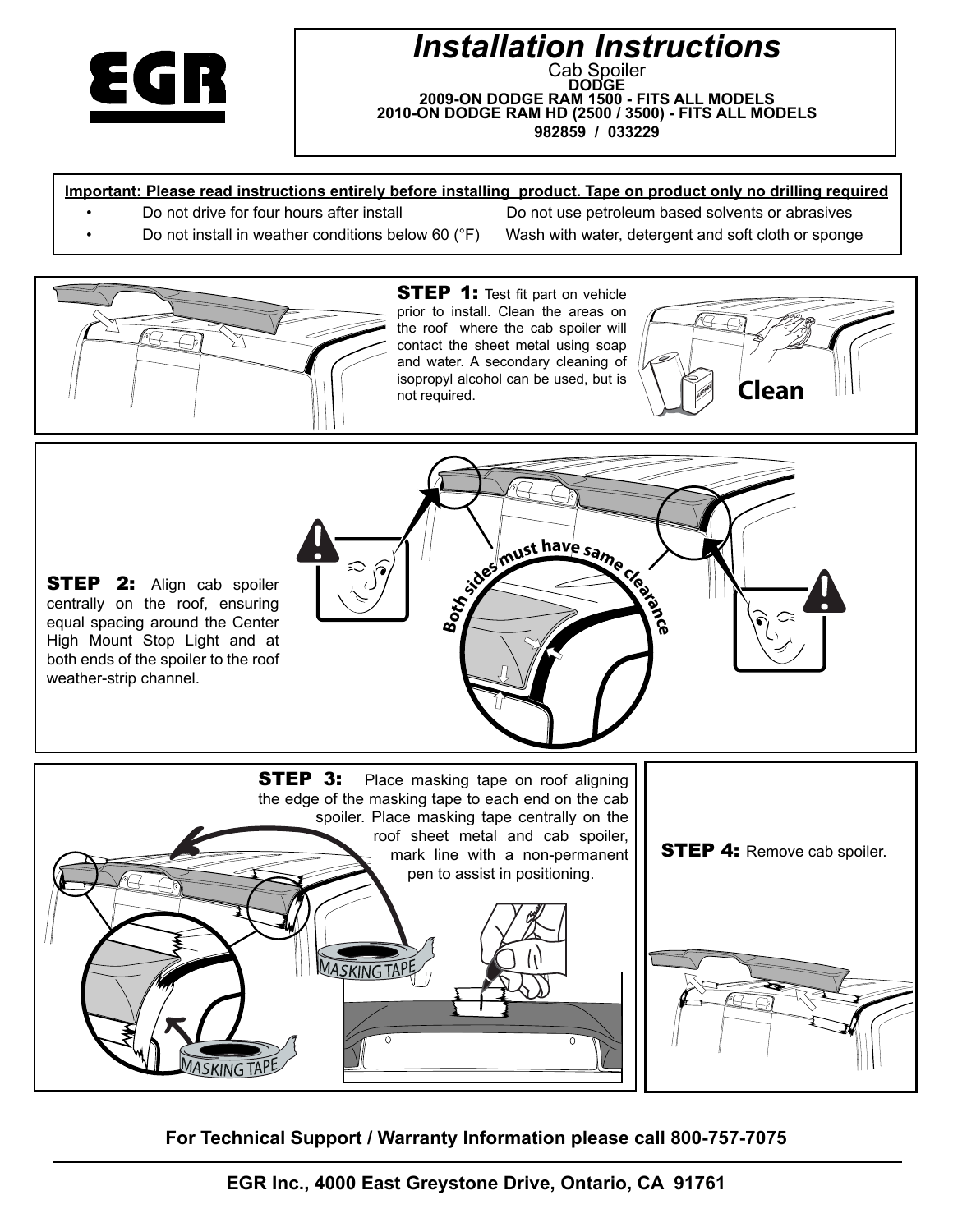

# *Installation Instructions* Cab Spoiler<br>**DODGE 2009-ON DODGE RAM 1500 - FITS ALL MODELS 2010-ON DODGE RAM HD (2500 / 3500) - FITS ALL MODELS 982859 / 033229**

#### **Important: Please read instructions entirely before installing product. Tape on product only no drilling required**

Do not drive for four hours after install Do not use petroleum based solvents or abrasives Do not install in weather conditions below 60 ( $\degree$ F) Wash with water, detergent and soft cloth or sponge



**STEP 1:** Test fit part on vehicle prior to install. Clean the areas on the roof where the cab spoiler will contact the sheet metal using soap and water. A secondary cleaning of isopropyl alcohol can be used, but is not required.







**For Technical Support / Warranty Information please call 800-757-7075**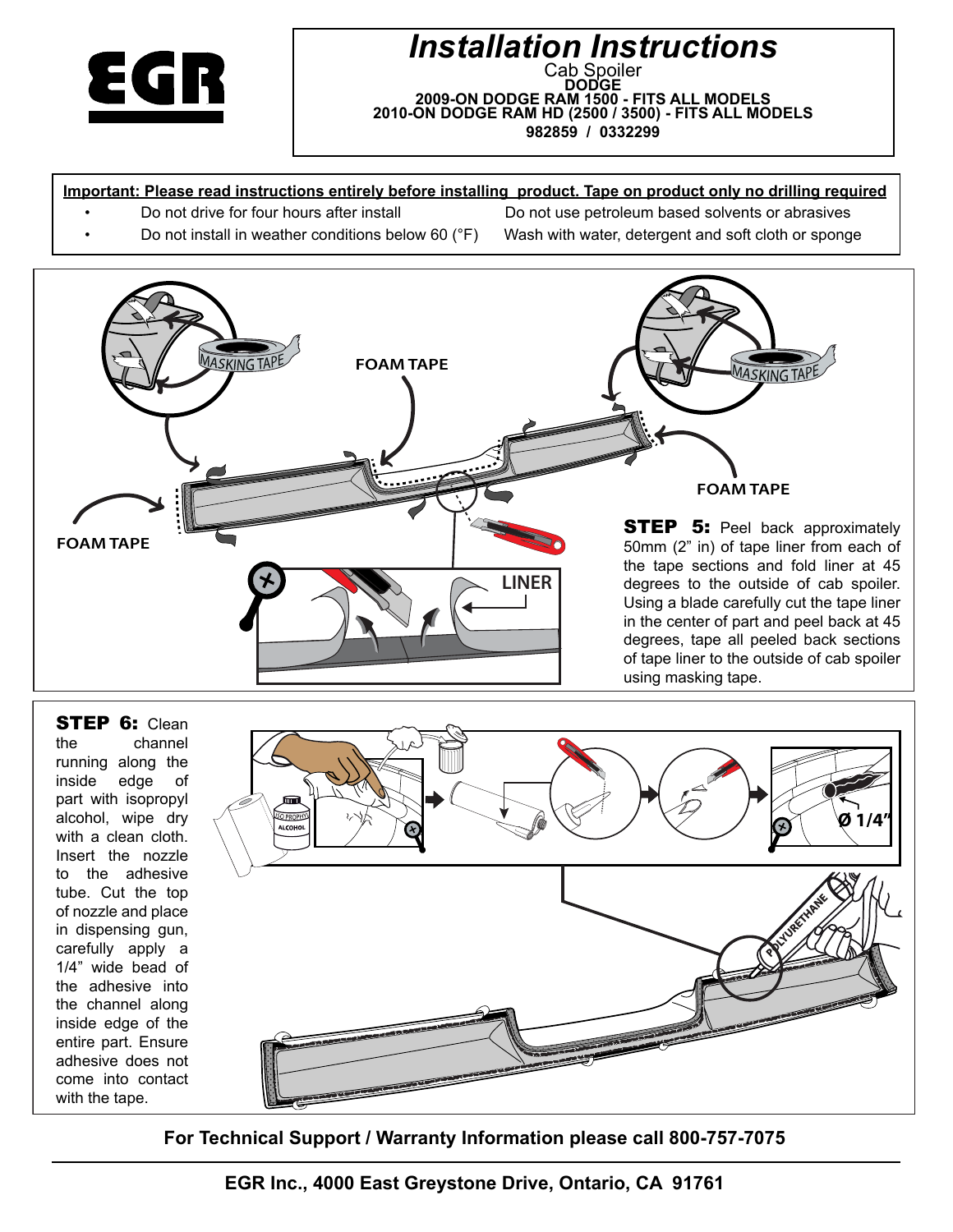

### *Installation Instructions* Cab Spoiler<br>**\_\_DODGE** \_ **2009-ON DODGE RAM 1500 - FITS ALL MODELS 2010-ON DODGE RAM HD (2500 / 3500) - FITS ALL MODELS 982859 / 0332299**

### **Important: Please read instructions entirely before installing product. Tape on product only no drilling required**

Do not drive for four hours after install Do not use petroleum based solvents or abrasives

Do not install in weather conditions below 60 (°F) Wash with water, detergent and soft cloth or sponge



**STEP 6: Clean** the channel running along the inside edge of part with isopropyl alcohol, wipe dry with a clean cloth. Insert the nozzle to the adhesive tube. Cut the top of nozzle and place in dispensing gun, carefully apply a 1/4" wide bead of the adhesive into the channel along inside edge of the entire part. Ensure adhesive does not come into contact with the tape.



**For Technical Support / Warranty Information please call 800-757-7075**